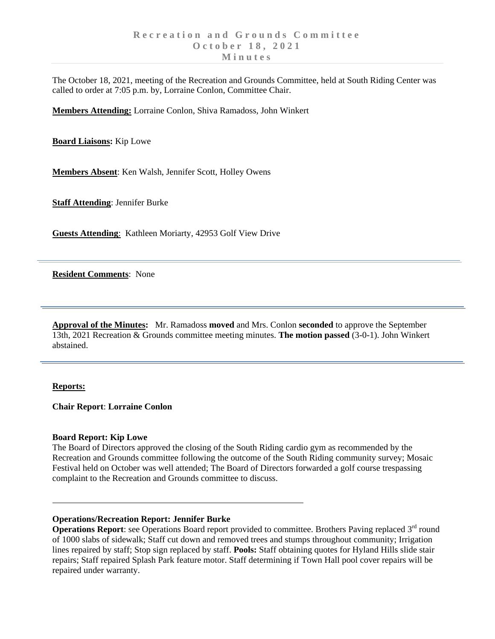The October 18, 2021, meeting of the Recreation and Grounds Committee, held at South Riding Center was called to order at 7:05 p.m. by, Lorraine Conlon, Committee Chair.

**Members Attending:** Lorraine Conlon, Shiva Ramadoss, John Winkert

**Board Liaisons:** Kip Lowe

**Members Absent**: Ken Walsh, Jennifer Scott, Holley Owens

**Staff Attending**: Jennifer Burke

**Guests Attending**: Kathleen Moriarty, 42953 Golf View Drive

**Resident Comments**: None

**Approval of the Minutes:** Mr. Ramadoss **moved** and Mrs. Conlon **seconded** to approve the September 13th, 2021 Recreation & Grounds committee meeting minutes. **The motion passed** (3-0-1). John Winkert abstained.

### **Reports:**

**Chair Report**: **Lorraine Conlon**

#### **Board Report: Kip Lowe**

The Board of Directors approved the closing of the South Riding cardio gym as recommended by the Recreation and Grounds committee following the outcome of the South Riding community survey; Mosaic Festival held on October was well attended; The Board of Directors forwarded a golf course trespassing complaint to the Recreation and Grounds committee to discuss.

# **Operations/Recreation Report: Jennifer Burke**

**Operations Report**: see Operations Board report provided to committee. Brothers Paving replaced 3<sup>rd</sup> round of 1000 slabs of sidewalk; Staff cut down and removed trees and stumps throughout community; Irrigation lines repaired by staff; Stop sign replaced by staff. **Pools:** Staff obtaining quotes for Hyland Hills slide stair repairs; Staff repaired Splash Park feature motor. Staff determining if Town Hall pool cover repairs will be repaired under warranty.